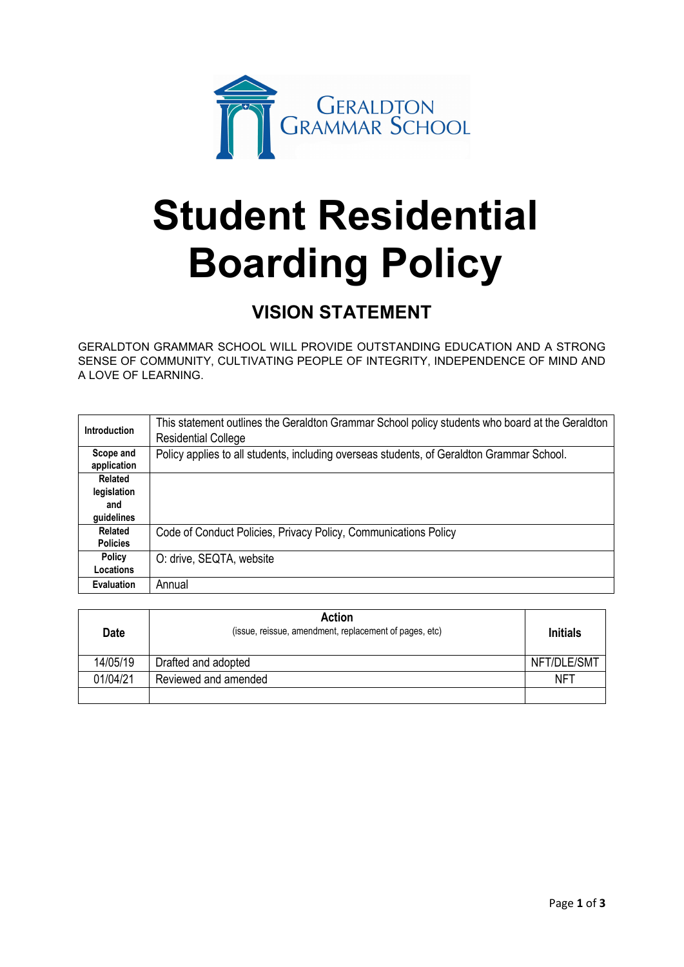

# **Student Residential Boarding Policy**

# **VISION STATEMENT**

GERALDTON GRAMMAR SCHOOL WILL PROVIDE OUTSTANDING EDUCATION AND A STRONG SENSE OF COMMUNITY, CULTIVATING PEOPLE OF INTEGRITY, INDEPENDENCE OF MIND AND A LOVE OF LEARNING.

| <b>Introduction</b>      | This statement outlines the Geraldton Grammar School policy students who board at the Geraldton<br><b>Residential College</b> |
|--------------------------|-------------------------------------------------------------------------------------------------------------------------------|
| Scope and<br>application | Policy applies to all students, including overseas students, of Geraldton Grammar School.                                     |
| Related                  |                                                                                                                               |
| legislation              |                                                                                                                               |
| and                      |                                                                                                                               |
| guidelines               |                                                                                                                               |
| Related                  | Code of Conduct Policies, Privacy Policy, Communications Policy                                                               |
| <b>Policies</b>          |                                                                                                                               |
| <b>Policy</b>            | O: drive, SEQTA, website                                                                                                      |
| Locations                |                                                                                                                               |
| <b>Evaluation</b>        | Annual                                                                                                                        |

| <b>Date</b> | Action<br>(issue, reissue, amendment, replacement of pages, etc) | <b>Initials</b> |
|-------------|------------------------------------------------------------------|-----------------|
| 14/05/19    | Drafted and adopted                                              | NFT/DLE/SMT     |
| 01/04/21    | Reviewed and amended                                             | <b>NFT</b>      |
|             |                                                                  |                 |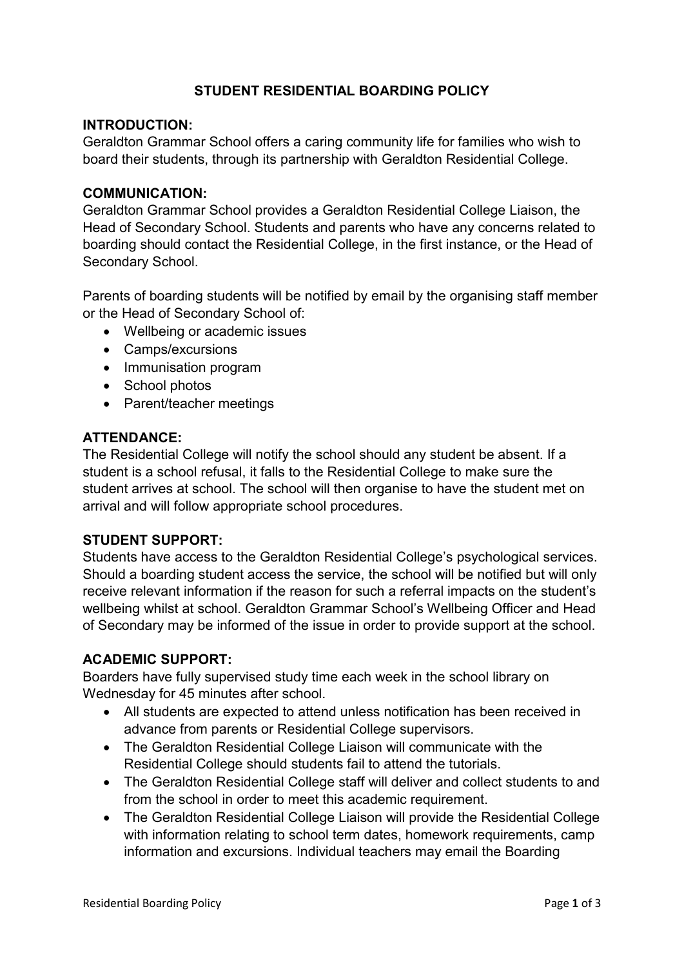# **STUDENT RESIDENTIAL BOARDING POLICY**

#### **INTRODUCTION:**

Geraldton Grammar School offers a caring community life for families who wish to board their students, through its partnership with Geraldton Residential College.

#### **COMMUNICATION:**

Geraldton Grammar School provides a Geraldton Residential College Liaison, the Head of Secondary School. Students and parents who have any concerns related to boarding should contact the Residential College, in the first instance, or the Head of Secondary School.

Parents of boarding students will be notified by email by the organising staff member or the Head of Secondary School of:

- Wellbeing or academic issues
- Camps/excursions
- Immunisation program
- School photos
- Parent/teacher meetings

#### **ATTENDANCE:**

The Residential College will notify the school should any student be absent. If a student is a school refusal, it falls to the Residential College to make sure the student arrives at school. The school will then organise to have the student met on arrival and will follow appropriate school procedures.

## **STUDENT SUPPORT:**

Students have access to the Geraldton Residential College's psychological services. Should a boarding student access the service, the school will be notified but will only receive relevant information if the reason for such a referral impacts on the student's wellbeing whilst at school. Geraldton Grammar School's Wellbeing Officer and Head of Secondary may be informed of the issue in order to provide support at the school.

#### **ACADEMIC SUPPORT:**

Boarders have fully supervised study time each week in the school library on Wednesday for 45 minutes after school.

- All students are expected to attend unless notification has been received in advance from parents or Residential College supervisors.
- The Geraldton Residential College Liaison will communicate with the Residential College should students fail to attend the tutorials.
- The Geraldton Residential College staff will deliver and collect students to and from the school in order to meet this academic requirement.
- The Geraldton Residential College Liaison will provide the Residential College with information relating to school term dates, homework requirements, camp information and excursions. Individual teachers may email the Boarding